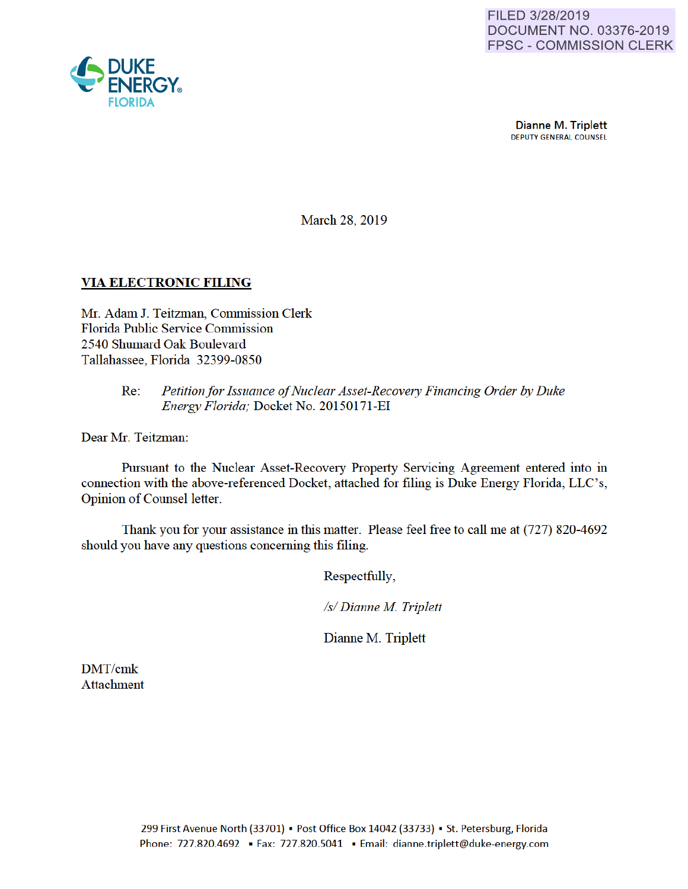

**Dianne M. Triplett** DEPUTY GENERAL COUNSEL

March 28, 2019

## VIA ELECTRONIC FILING

Mr. Adam J. Teitzman, Commission Clerk Florida Public Service Commission 2540 Shumard Oak Boulevard Tallahassee, Florida 32399-0850

## Re: *Petition for Issuance of Nuclear Asset-Recovery Financing Order by Duke Energy Florida;* Docket No. 20150171-EI

Dear Mr. Teitzman:

Pursuant to the Nuclear Asset-Recovery Property Servicing Agreement entered into in connection with the above-referenced Docket, attached for filing is Duke Energy Florida, LLC's, Opinion of Counsel letter.

Thank you for your assistance in this matter. Please feel free to call me at (727) 820-4692 should you have any questions conceming this filing.

Respectfully,

*Is/ Dianne M Triplett* 

Dianne M. Triplett

DMT/cmk Attachment

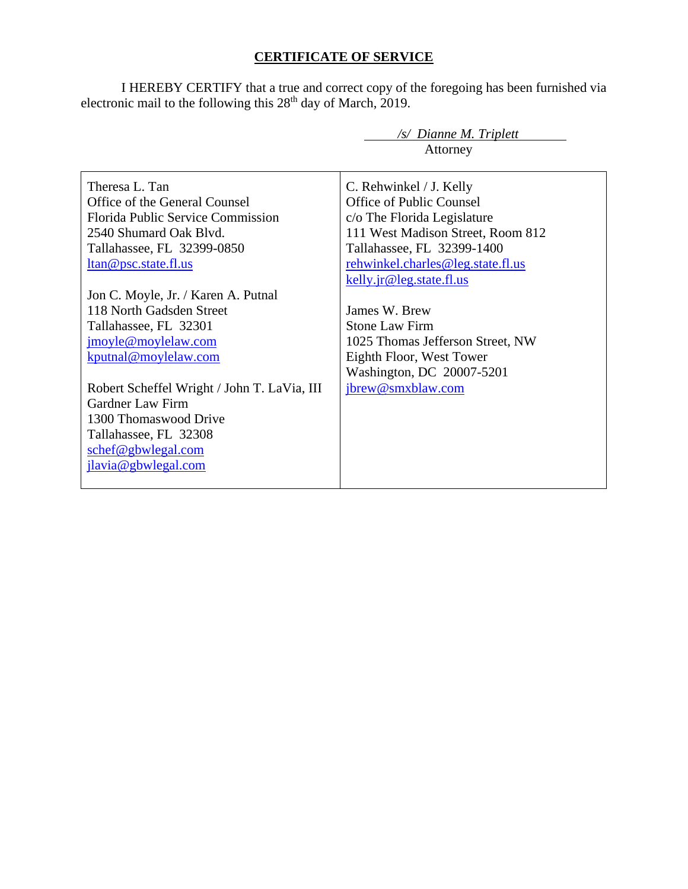## **CERTIFICATE OF SERVICE**

I HEREBY CERTIFY that a true and correct copy of the foregoing has been furnished via electronic mail to the following this  $28<sup>th</sup>$  day of March, 2019.

|                                             | /s/ Dianne M. Triplett            |
|---------------------------------------------|-----------------------------------|
|                                             | Attorney                          |
|                                             |                                   |
| Theresa L. Tan                              | C. Rehwinkel / J. Kelly           |
| Office of the General Counsel               | <b>Office of Public Counsel</b>   |
| <b>Florida Public Service Commission</b>    | c/o The Florida Legislature       |
| 2540 Shumard Oak Blyd.                      | 111 West Madison Street, Room 812 |
| Tallahassee, FL 32399-0850                  | Tallahassee, FL 32399-1400        |
| ltan@psc.state.fl.us                        | rehwinkel.charles@leg.state.fl.us |
|                                             | kelly.jr@leg.state.fl.us          |
| Jon C. Moyle, Jr. / Karen A. Putnal         |                                   |
| 118 North Gadsden Street                    | James W. Brew                     |
| Tallahassee, FL 32301                       | <b>Stone Law Firm</b>             |
| jmoyle@moylelaw.com                         | 1025 Thomas Jefferson Street, NW  |
| kputnal@moylelaw.com                        | Eighth Floor, West Tower          |
|                                             | Washington, DC 20007-5201         |
| Robert Scheffel Wright / John T. LaVia, III | jbrew@smxblaw.com                 |
| Gardner Law Firm                            |                                   |
| 1300 Thomaswood Drive                       |                                   |
| Tallahassee, FL 32308                       |                                   |
| schef@gbwlegal.com                          |                                   |
| jlavia@gbwlegal.com                         |                                   |
|                                             |                                   |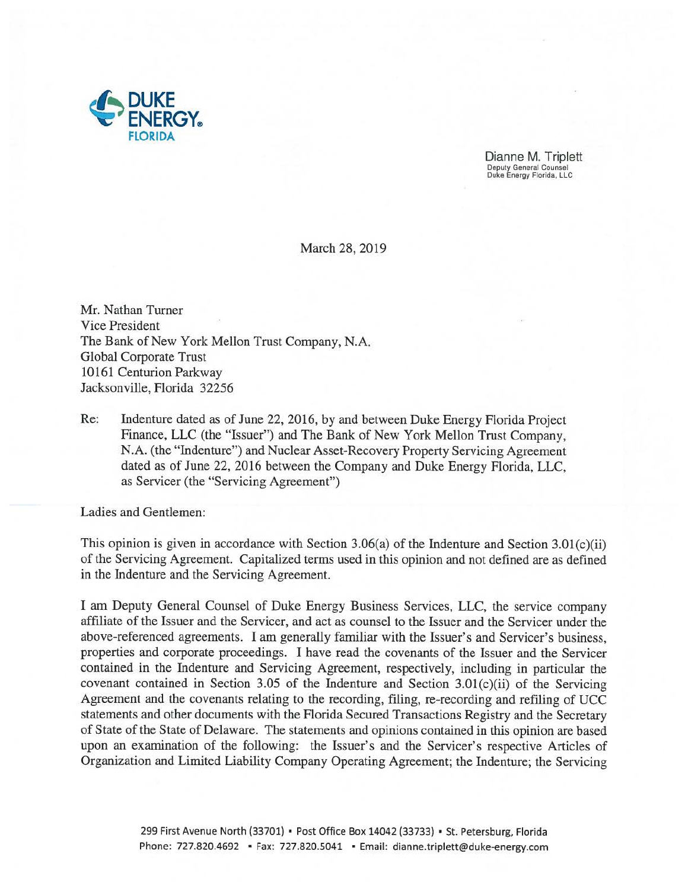

Dianne M. Triplett Deputy General Counsel Duke Energy Florida, LLC

March 28, 2019

Mr. Nathan Turner Vice President The Bank of New York Mellon Trust Company, N.A. Global Corporate Trust 10161 Centurion Parkway Jacksonville, Florida 32256

Re: Indenture dated as of June 22, 2016, by and between Duke Energy Florida Project Finance, LLC (the "Issuer") and The Bank of New York Mellon Trust Company, N.A. (the "Indenture") and Nuclear Asset-Recovery Property Servicing Agreement dated as of June 22, 2016 between the Company and Duke Energy Florida, LLC, as Servicer (the "Servicing Agreement")

Ladies and Gentlemen:

This opinion is given in accordance with Section 3.06(a) of the Indenture and Section 3.01(c)(ii) of the Servicing Agreement. Capitalized terms used in this opinion and not defined are as defined in the Indenture and the Servicing Agreement.

I am Deputy General Counsel of Duke Energy Business Services, LLC, the service company afflliate of the Issuer and the Servicer, and act as counsel to the Issuer and the Servicer under the above-referenced agreements. I am generally familiar with the Issuer's and Servicer's business, properties and corporate proceedings. I have read the covenants of the Issuer and the Servicer contained in the Indenture and Servicing Agreement, respectively, including in particular the covenant contained in Section 3.05 of the Indenture and Section 3.01(c)(ii) of the Servicing Agreement and the covenants relating to the recording, filing, re-recording and refiling of UCC statements and other documents with the Florida Secured Transactions Registry and the Secretary of State of the State of Delaware. The statements and opinions contained in this opinion are based upon an examination of the following: the Issuer's and the Servicer's respective Articles of Organization and Limited Liability Company Operating Agreement; the Indenture; the Servicing